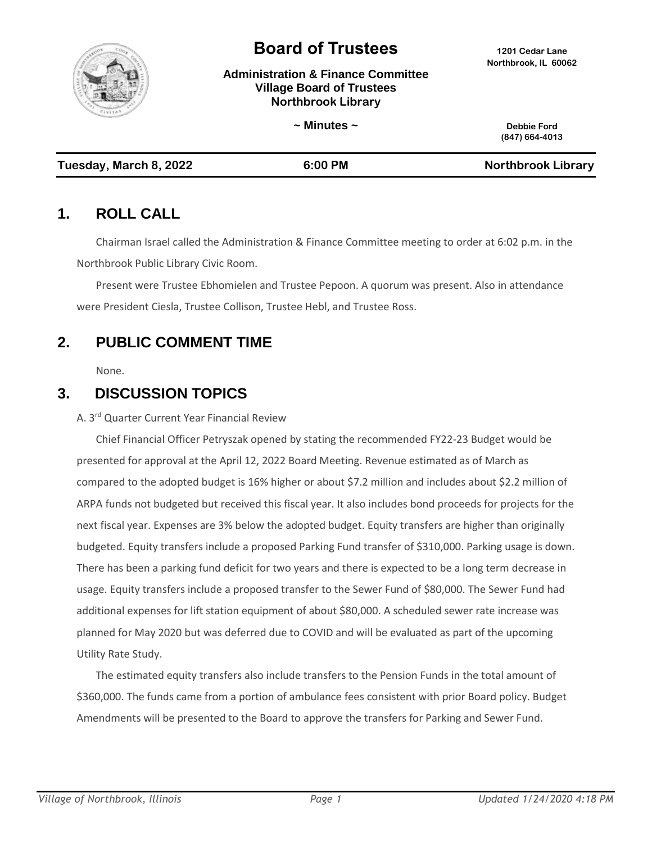

# **Board of Trustees <sup>1201</sup> Cedar Lane**

**Administration & Finance Committee Village Board of Trustees Northbrook Library**

|                        | $\sim$ Minutes $\sim$ | Debbie Ford<br>(847) 664-4013 |
|------------------------|-----------------------|-------------------------------|
| Tuesday, March 8, 2022 | 6:00 PM               | <b>Northbrook Library</b>     |

#### **1. ROLL CALL**

Chairman Israel called the Administration & Finance Committee meeting to order at 6:02 p.m. in the Northbrook Public Library Civic Room.

Present were Trustee Ebhomielen and Trustee Pepoon. A quorum was present. Also in attendance were President Ciesla, Trustee Collison, Trustee Hebl, and Trustee Ross.

# **2. PUBLIC COMMENT TIME**

None.

### **3. DISCUSSION TOPICS**

A. 3 rd Quarter Current Year Financial Review

Chief Financial Officer Petryszak opened by stating the recommended FY22-23 Budget would be presented for approval at the April 12, 2022 Board Meeting. Revenue estimated as of March as compared to the adopted budget is 16% higher or about \$7.2 million and includes about \$2.2 million of ARPA funds not budgeted but received this fiscal year. It also includes bond proceeds for projects for the next fiscal year. Expenses are 3% below the adopted budget. Equity transfers are higher than originally budgeted. Equity transfers include a proposed Parking Fund transfer of \$310,000. Parking usage is down. There has been a parking fund deficit for two years and there is expected to be a long term decrease in usage. Equity transfers include a proposed transfer to the Sewer Fund of \$80,000. The Sewer Fund had additional expenses for lift station equipment of about \$80,000. A scheduled sewer rate increase was planned for May 2020 but was deferred due to COVID and will be evaluated as part of the upcoming Utility Rate Study.

The estimated equity transfers also include transfers to the Pension Funds in the total amount of \$360,000. The funds came from a portion of ambulance fees consistent with prior Board policy. Budget Amendments will be presented to the Board to approve the transfers for Parking and Sewer Fund.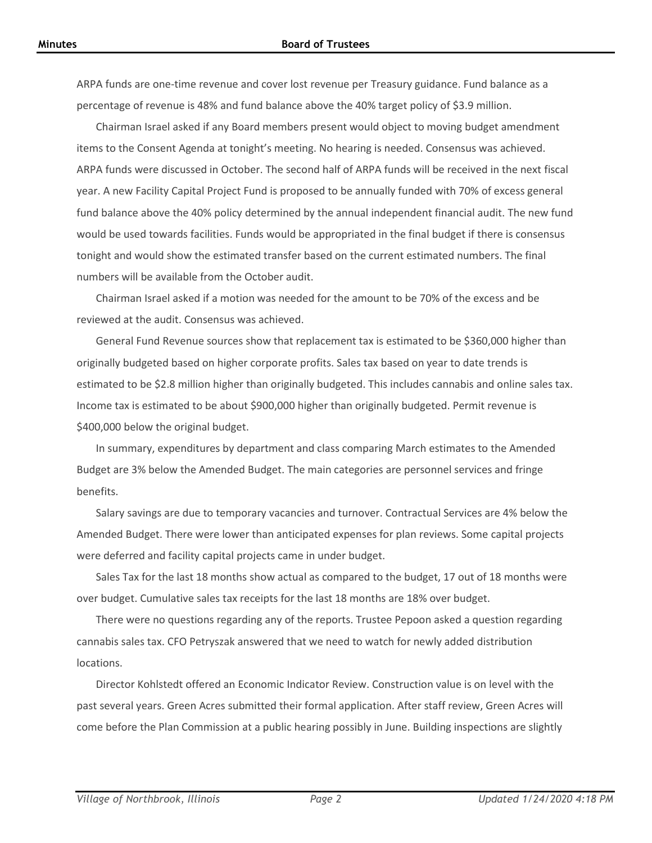ARPA funds are one-time revenue and cover lost revenue per Treasury guidance. Fund balance as a percentage of revenue is 48% and fund balance above the 40% target policy of \$3.9 million.

Chairman Israel asked if any Board members present would object to moving budget amendment items to the Consent Agenda at tonight's meeting. No hearing is needed. Consensus was achieved. ARPA funds were discussed in October. The second half of ARPA funds will be received in the next fiscal year. A new Facility Capital Project Fund is proposed to be annually funded with 70% of excess general fund balance above the 40% policy determined by the annual independent financial audit. The new fund would be used towards facilities. Funds would be appropriated in the final budget if there is consensus tonight and would show the estimated transfer based on the current estimated numbers. The final numbers will be available from the October audit.

Chairman Israel asked if a motion was needed for the amount to be 70% of the excess and be reviewed at the audit. Consensus was achieved.

General Fund Revenue sources show that replacement tax is estimated to be \$360,000 higher than originally budgeted based on higher corporate profits. Sales tax based on year to date trends is estimated to be \$2.8 million higher than originally budgeted. This includes cannabis and online sales tax. Income tax is estimated to be about \$900,000 higher than originally budgeted. Permit revenue is \$400,000 below the original budget.

In summary, expenditures by department and class comparing March estimates to the Amended Budget are 3% below the Amended Budget. The main categories are personnel services and fringe benefits.

Salary savings are due to temporary vacancies and turnover. Contractual Services are 4% below the Amended Budget. There were lower than anticipated expenses for plan reviews. Some capital projects were deferred and facility capital projects came in under budget.

Sales Tax for the last 18 months show actual as compared to the budget, 17 out of 18 months were over budget. Cumulative sales tax receipts for the last 18 months are 18% over budget.

There were no questions regarding any of the reports. Trustee Pepoon asked a question regarding cannabis sales tax. CFO Petryszak answered that we need to watch for newly added distribution locations.

Director Kohlstedt offered an Economic Indicator Review. Construction value is on level with the past several years. Green Acres submitted their formal application. After staff review, Green Acres will come before the Plan Commission at a public hearing possibly in June. Building inspections are slightly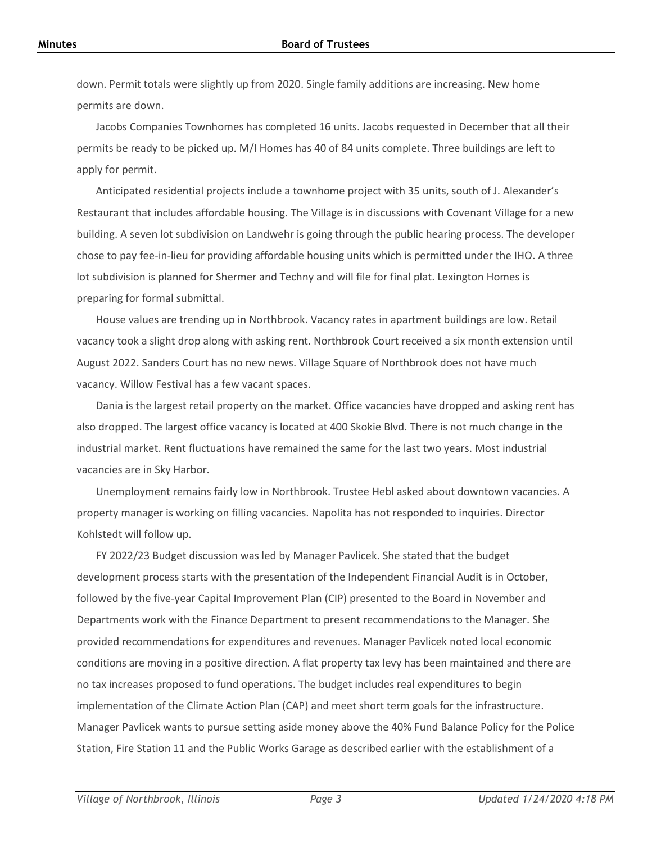down. Permit totals were slightly up from 2020. Single family additions are increasing. New home permits are down.

Jacobs Companies Townhomes has completed 16 units. Jacobs requested in December that all their permits be ready to be picked up. M/I Homes has 40 of 84 units complete. Three buildings are left to apply for permit.

Anticipated residential projects include a townhome project with 35 units, south of J. Alexander's Restaurant that includes affordable housing. The Village is in discussions with Covenant Village for a new building. A seven lot subdivision on Landwehr is going through the public hearing process. The developer chose to pay fee-in-lieu for providing affordable housing units which is permitted under the IHO. A three lot subdivision is planned for Shermer and Techny and will file for final plat. Lexington Homes is preparing for formal submittal.

House values are trending up in Northbrook. Vacancy rates in apartment buildings are low. Retail vacancy took a slight drop along with asking rent. Northbrook Court received a six month extension until August 2022. Sanders Court has no new news. Village Square of Northbrook does not have much vacancy. Willow Festival has a few vacant spaces.

Dania is the largest retail property on the market. Office vacancies have dropped and asking rent has also dropped. The largest office vacancy is located at 400 Skokie Blvd. There is not much change in the industrial market. Rent fluctuations have remained the same for the last two years. Most industrial vacancies are in Sky Harbor.

Unemployment remains fairly low in Northbrook. Trustee Hebl asked about downtown vacancies. A property manager is working on filling vacancies. Napolita has not responded to inquiries. Director Kohlstedt will follow up.

FY 2022/23 Budget discussion was led by Manager Pavlicek. She stated that the budget development process starts with the presentation of the Independent Financial Audit is in October, followed by the five-year Capital Improvement Plan (CIP) presented to the Board in November and Departments work with the Finance Department to present recommendations to the Manager. She provided recommendations for expenditures and revenues. Manager Pavlicek noted local economic conditions are moving in a positive direction. A flat property tax levy has been maintained and there are no tax increases proposed to fund operations. The budget includes real expenditures to begin implementation of the Climate Action Plan (CAP) and meet short term goals for the infrastructure. Manager Pavlicek wants to pursue setting aside money above the 40% Fund Balance Policy for the Police Station, Fire Station 11 and the Public Works Garage as described earlier with the establishment of a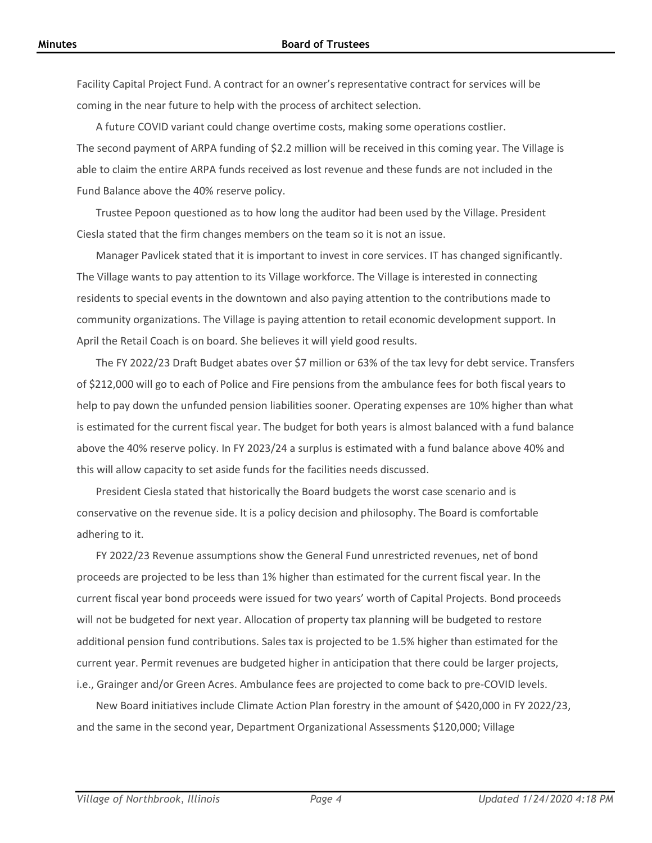Facility Capital Project Fund. A contract for an owner's representative contract for services will be coming in the near future to help with the process of architect selection.

A future COVID variant could change overtime costs, making some operations costlier. The second payment of ARPA funding of \$2.2 million will be received in this coming year. The Village is able to claim the entire ARPA funds received as lost revenue and these funds are not included in the Fund Balance above the 40% reserve policy.

Trustee Pepoon questioned as to how long the auditor had been used by the Village. President Ciesla stated that the firm changes members on the team so it is not an issue.

Manager Pavlicek stated that it is important to invest in core services. IT has changed significantly. The Village wants to pay attention to its Village workforce. The Village is interested in connecting residents to special events in the downtown and also paying attention to the contributions made to community organizations. The Village is paying attention to retail economic development support. In April the Retail Coach is on board. She believes it will yield good results.

The FY 2022/23 Draft Budget abates over \$7 million or 63% of the tax levy for debt service. Transfers of \$212,000 will go to each of Police and Fire pensions from the ambulance fees for both fiscal years to help to pay down the unfunded pension liabilities sooner. Operating expenses are 10% higher than what is estimated for the current fiscal year. The budget for both years is almost balanced with a fund balance above the 40% reserve policy. In FY 2023/24 a surplus is estimated with a fund balance above 40% and this will allow capacity to set aside funds for the facilities needs discussed.

President Ciesla stated that historically the Board budgets the worst case scenario and is conservative on the revenue side. It is a policy decision and philosophy. The Board is comfortable adhering to it.

FY 2022/23 Revenue assumptions show the General Fund unrestricted revenues, net of bond proceeds are projected to be less than 1% higher than estimated for the current fiscal year. In the current fiscal year bond proceeds were issued for two years' worth of Capital Projects. Bond proceeds will not be budgeted for next year. Allocation of property tax planning will be budgeted to restore additional pension fund contributions. Sales tax is projected to be 1.5% higher than estimated for the current year. Permit revenues are budgeted higher in anticipation that there could be larger projects, i.e., Grainger and/or Green Acres. Ambulance fees are projected to come back to pre-COVID levels.

New Board initiatives include Climate Action Plan forestry in the amount of \$420,000 in FY 2022/23, and the same in the second year, Department Organizational Assessments \$120,000; Village